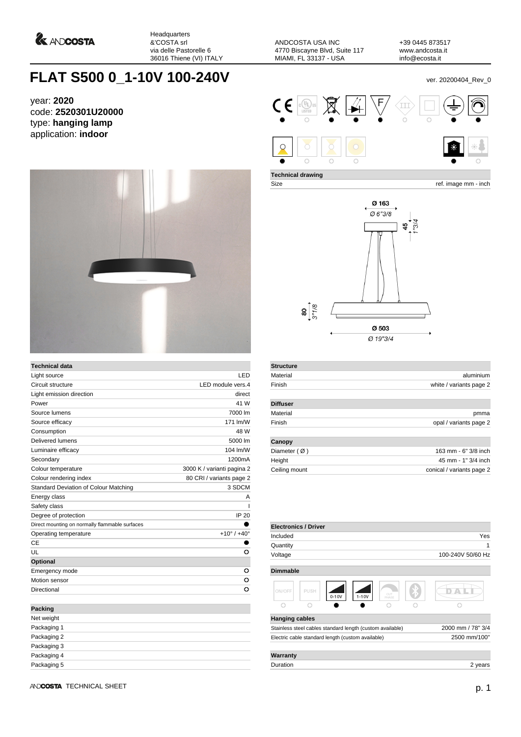

Headquarters &'COSTA srl via delle Pastorelle 6 36016 Thiene (VI) ITALY

ANDCOSTA USA INC 4770 Biscayne Blvd, Suite 117 MIAMI, FL 33137 - USA

+39 0445 873517 www.andcosta.it info@ecosta.it

## **FLAT S500 0\_1-10V 100-240V ver. 20200404\_Rev\_0**

year: **2020** code: **2520301U20000** type: **hanging lamp** application: **indoor**



| <b>Technical data</b>                          |                               |
|------------------------------------------------|-------------------------------|
| Light source                                   | I FD                          |
| Circuit structure                              | LED module vers.4             |
| Light emission direction                       | direct                        |
| Power                                          | 41 W                          |
| Source lumens                                  | 7000 lm                       |
| Source efficacy                                | 171 lm/W                      |
| Consumption                                    | 48 W                          |
| Delivered lumens                               | 5000 lm                       |
| Luminaire efficacy                             | 104 lm/W                      |
| Secondary                                      | 1200mA                        |
| Colour temperature                             | 3000 K / varianti pagina 2    |
| Colour rendering index                         | 80 CRI / variants page 2      |
| Standard Deviation of Colour Matching          | 3 SDCM                        |
| Energy class                                   | Α                             |
| Safety class                                   | ı                             |
| Degree of protection                           | IP 20                         |
| Direct mounting on normally flammable surfaces |                               |
| Operating temperature                          | $+10^{\circ}$ / $+40^{\circ}$ |
| <b>CE</b>                                      |                               |
| UL                                             | O                             |
| Optional                                       |                               |
| Emergency mode                                 | o                             |
| Motion sensor                                  | o                             |
| Directional                                    | O                             |
|                                                |                               |
| Packing                                        |                               |
| Net weight                                     |                               |

| .           |
|-------------|
| Net weight  |
| Packaging 1 |
| Packaging 2 |
| Packaging 3 |
| Packaging 4 |
| Packaging 5 |



**Technical drawing**

Size ref. image mm - inch



| <b>Structure</b>       |                           |
|------------------------|---------------------------|
| Material               | aluminium                 |
| Finish                 | white / variants page 2   |
| <b>Diffuser</b>        |                           |
| Material               | pmma                      |
| Finish                 | opal / variants page 2    |
| Canopy                 |                           |
| Diameter $(\emptyset)$ | 163 mm - 6" 3/8 inch      |
| Height                 | 45 mm - 1" 3/4 inch       |
| Ceiling mount          | conical / variants page 2 |
|                        |                           |

| <b>Electronics / Driver</b>                               |                   |
|-----------------------------------------------------------|-------------------|
| Included                                                  | Yes               |
| Quantity                                                  | 1                 |
| Voltage                                                   | 100-240V 50/60 Hz |
| <b>Dimmable</b>                                           |                   |
| PUSH<br>ON/OFF<br>CUT<br>$0-10V$<br>$1-10V$<br>PHASE      |                   |
| Ō<br>∩                                                    |                   |
| <b>Hanging cables</b>                                     |                   |
| Stainless steel cables standard length (custom available) | 2000 mm / 78" 3/4 |
| Electric cable standard length (custom available)         | 2500 mm/100"      |
| Warranty                                                  |                   |
| Duration                                                  | 2 years           |